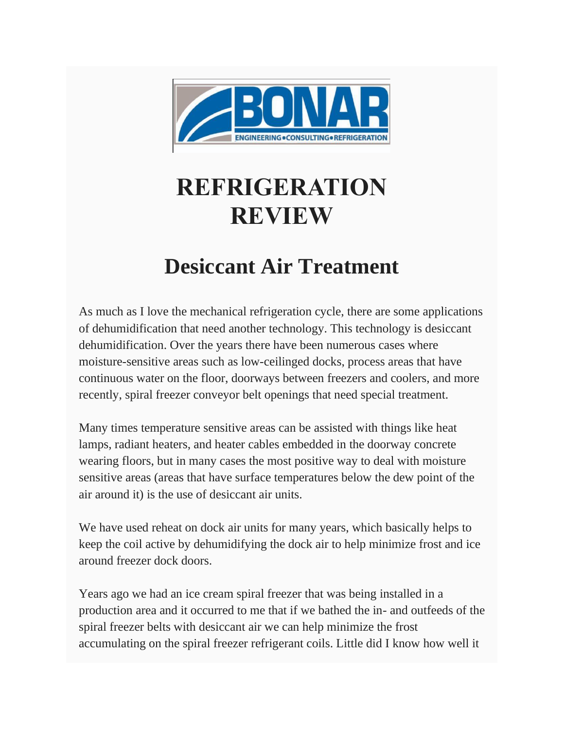

# **REFRIGERATION REVIEW**

## **Desiccant Air Treatment**

As much as I love the mechanical refrigeration cycle, there are some applications of dehumidification that need another technology. This technology is desiccant dehumidification. Over the years there have been numerous cases where moisture-sensitive areas such as low-ceilinged docks, process areas that have continuous water on the floor, doorways between freezers and coolers, and more recently, spiral freezer conveyor belt openings that need special treatment.

Many times temperature sensitive areas can be assisted with things like heat lamps, radiant heaters, and heater cables embedded in the doorway concrete wearing floors, but in many cases the most positive way to deal with moisture sensitive areas (areas that have surface temperatures below the dew point of the air around it) is the use of desiccant air units.

We have used reheat on dock air units for many years, which basically helps to keep the coil active by dehumidifying the dock air to help minimize frost and ice around freezer dock doors.

Years ago we had an ice cream spiral freezer that was being installed in a production area and it occurred to me that if we bathed the in- and outfeeds of the spiral freezer belts with desiccant air we can help minimize the frost accumulating on the spiral freezer refrigerant coils. Little did I know how well it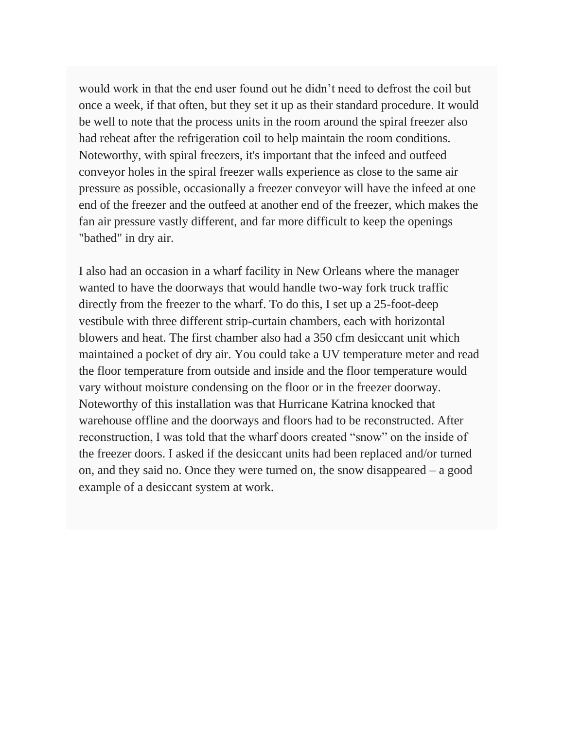would work in that the end user found out he didn't need to defrost the coil but once a week, if that often, but they set it up as their standard procedure. It would be well to note that the process units in the room around the spiral freezer also had reheat after the refrigeration coil to help maintain the room conditions. Noteworthy, with spiral freezers, it's important that the infeed and outfeed conveyor holes in the spiral freezer walls experience as close to the same air pressure as possible, occasionally a freezer conveyor will have the infeed at one end of the freezer and the outfeed at another end of the freezer, which makes the fan air pressure vastly different, and far more difficult to keep the openings "bathed" in dry air.

I also had an occasion in a wharf facility in New Orleans where the manager wanted to have the doorways that would handle two-way fork truck traffic directly from the freezer to the wharf. To do this, I set up a 25-foot-deep vestibule with three different strip-curtain chambers, each with horizontal blowers and heat. The first chamber also had a 350 cfm desiccant unit which maintained a pocket of dry air. You could take a UV temperature meter and read the floor temperature from outside and inside and the floor temperature would vary without moisture condensing on the floor or in the freezer doorway. Noteworthy of this installation was that Hurricane Katrina knocked that warehouse offline and the doorways and floors had to be reconstructed. After reconstruction, I was told that the wharf doors created "snow" on the inside of the freezer doors. I asked if the desiccant units had been replaced and/or turned on, and they said no. Once they were turned on, the snow disappeared – a good example of a desiccant system at work.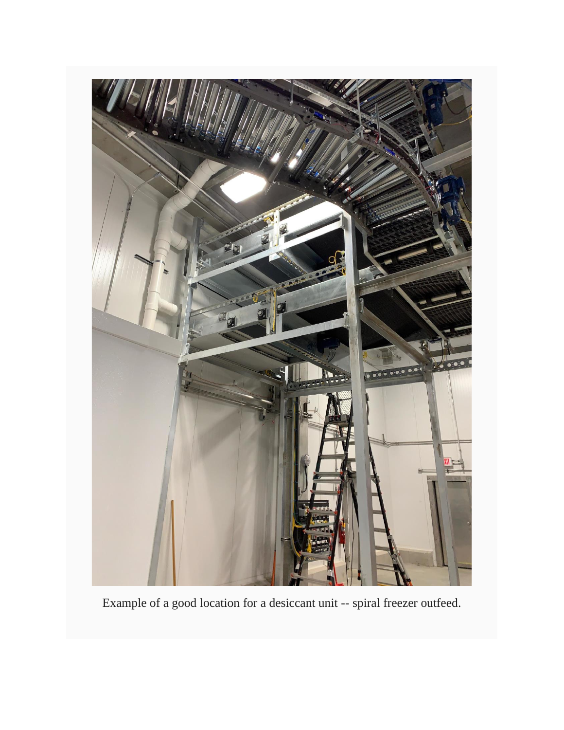

Example of a good location for a desiccant unit -- spiral freezer outfeed.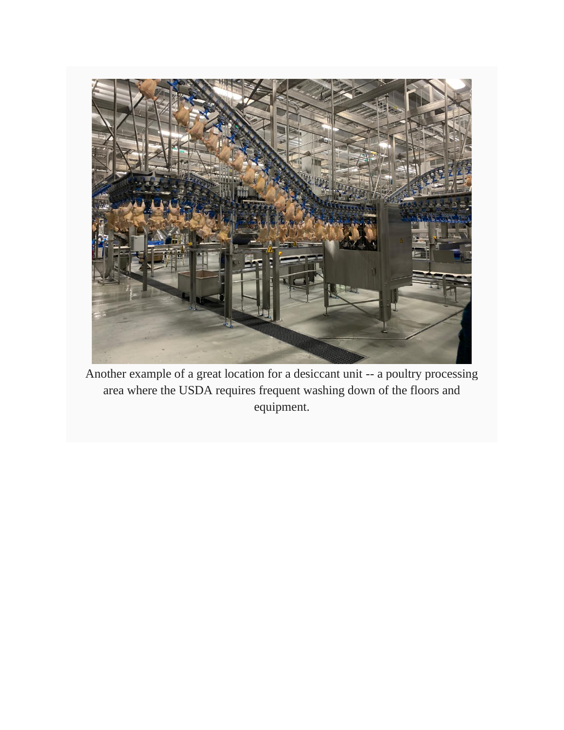

Another example of a great location for a desiccant unit -- a poultry processing area where the USDA requires frequent washing down of the floors and equipment.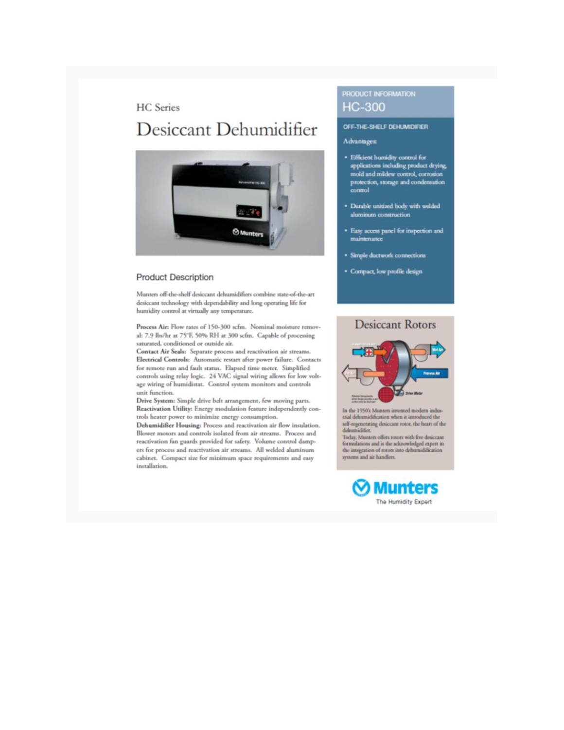#### **HC** Series

### Desiccant Dehumidifier



#### **Product Description**

Munters off-the-shelf desiccant dehumidifiers combine state-of-the-art desiccant technology with dependability and long operating life for humidity control at virtually any temperature.

Process Air: Flow rates of 150-300 scfm. Nominal moisture removal: 7.9 lbs/hr at 75°F, 50% RH at 300 scfm. Capable of processing saturated, conditioned or outside air.

Contact Air Seals: Separate process and reactivation air streams. Electrical Controls: Automatic restart after power failure. Contacts for remote run and fault status. Elapsed time meter. Simplified controls using relay logic. 24 VAC signal wiring allows for low voltage wiring of humidistat. Control system monitors and controls unit function.

Drive System: Simple drive belt arrangement, few moving parts. Reactivation Utility: Energy modulation feature independently controls heater power to minimize energy consumption.

Dehumidifier Housing: Process and reactivation air flow insulation. Blower motors and controls isolated from air streams. Process and reactivation fan guards provided for safety. Volume control dampers for process and reactivation air streams. All welded aluminum cabinet. Compact size for minimum space requirements and easy installation.

#### **PRODUCT INFORMATION HC-300**

#### OFF-THE-SHELF DEHUMIDIFIER

#### Advantages:

- Efficient humidity control for<br>applications including product drying,<br>mold and mildew control, corrosion protection, storage and condensation control
- · Durable unitized body with welded aluminum construction
- · Easy access panel for inspection and maintenance
- · Simple ductwork connections
- · Compact, low profile design

#### **Desiccant Rotors**



In the 1950's Munters invented modern industrial dehumidification when it introduced the self-regenerating desiccant rotor, the heart of the dehumidifice.

Today. Munters offers rotors with five desiccant<br>formulations and is the acknowledged expert in<br>the integration of rotors into dehumidification systems and air handlers.